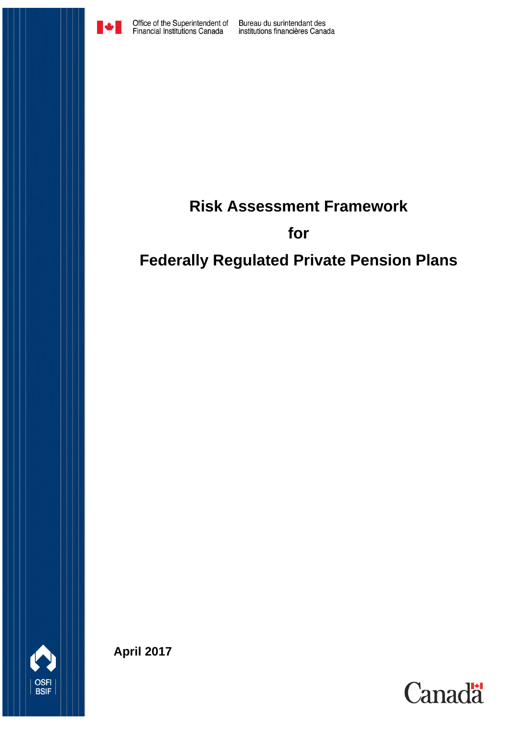

Bureau du surintendant des<br>institutions financières Canada

### **Risk Assessment Framework**

### **for**

# **Federally Regulated Private Pension Plans**



**April 2017**

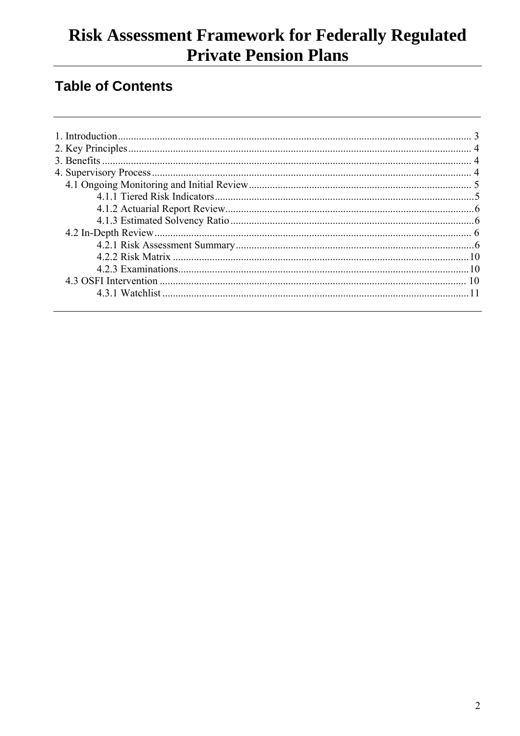### **Table of Contents**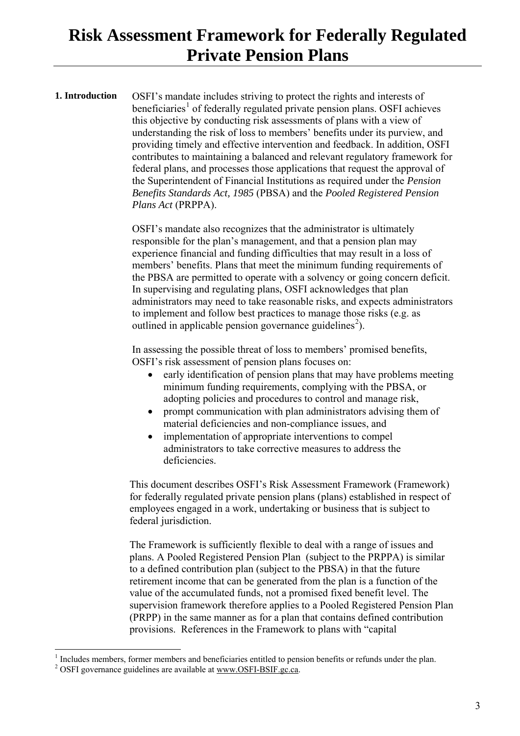<span id="page-2-0"></span>**1. Introduction** OSFI's mandate includes striving to protect the rights and interests of beneficiaries<sup>[1](#page-2-1)</sup> of federally regulated private pension plans. OSFI achieves this objective by conducting risk assessments of plans with a view of understanding the risk of loss to members' benefits under its purview, and providing timely and effective intervention and feedback. In addition, OSFI contributes to maintaining a balanced and relevant regulatory framework for federal plans, and processes those applications that request the approval of the Superintendent of Financial Institutions as required under the *Pension Benefits Standards Act, 1985* (PBSA) and the *Pooled Registered Pension Plans Act* (PRPPA).

> OSFI's mandate also recognizes that the administrator is ultimately responsible for the plan's management, and that a pension plan may experience financial and funding difficulties that may result in a loss of members' benefits. Plans that meet the minimum funding requirements of the PBSA are permitted to operate with a solvency or going concern deficit. In supervising and regulating plans, OSFI acknowledges that plan administrators may need to take reasonable risks, and expects administrators to implement and follow best practices to manage those risks (e.g. as outlined in applicable pension governance guidelines<sup>[2](#page-2-2)</sup>).

In assessing the possible threat of loss to members' promised benefits, OSFI's risk assessment of pension plans focuses on:

- early identification of pension plans that may have problems meeting minimum funding requirements, complying with the PBSA, or adopting policies and procedures to control and manage risk,
- prompt communication with plan administrators advising them of material deficiencies and non-compliance issues, and
- implementation of appropriate interventions to compel administrators to take corrective measures to address the deficiencies.

This document describes OSFI's Risk Assessment Framework (Framework) for federally regulated private pension plans (plans) established in respect of employees engaged in a work, undertaking or business that is subject to federal jurisdiction.

The Framework is sufficiently flexible to deal with a range of issues and plans. A Pooled Registered Pension Plan (subject to the PRPPA) is similar to a defined contribution plan (subject to the PBSA) in that the future retirement income that can be generated from the plan is a function of the value of the accumulated funds, not a promised fixed benefit level. The supervision framework therefore applies to a Pooled Registered Pension Plan (PRPP) in the same manner as for a plan that contains defined contribution provisions. References in the Framework to plans with "capital

<span id="page-2-1"></span> $\overline{a}$ <sup>1</sup> Includes members, former members and beneficiaries entitled to pension benefits or refunds under the plan. <sup>2</sup> OSFI governance guidelines are available at <u>www.OSFI-BSIF.gc.ca</u>.

<span id="page-2-2"></span>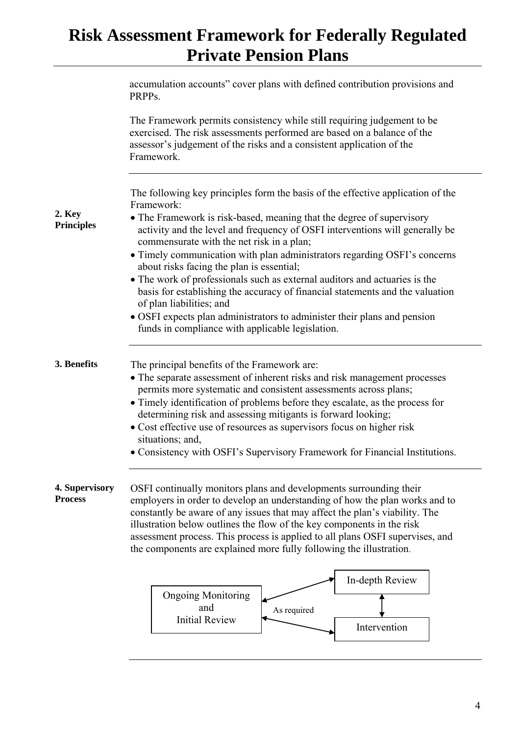<span id="page-3-2"></span><span id="page-3-1"></span><span id="page-3-0"></span>

|                                  | accumulation accounts" cover plans with defined contribution provisions and<br>PRPP <sub>s</sub> .                                                                                                                                                                                                                                                                                                                                                                                                                        |
|----------------------------------|---------------------------------------------------------------------------------------------------------------------------------------------------------------------------------------------------------------------------------------------------------------------------------------------------------------------------------------------------------------------------------------------------------------------------------------------------------------------------------------------------------------------------|
|                                  | The Framework permits consistency while still requiring judgement to be<br>exercised. The risk assessments performed are based on a balance of the<br>assessor's judgement of the risks and a consistent application of the<br>Framework.                                                                                                                                                                                                                                                                                 |
| 2. Key<br><b>Principles</b>      | The following key principles form the basis of the effective application of the<br>Framework:<br>• The Framework is risk-based, meaning that the degree of supervisory<br>activity and the level and frequency of OSFI interventions will generally be                                                                                                                                                                                                                                                                    |
|                                  | commensurate with the net risk in a plan;<br>• Timely communication with plan administrators regarding OSFI's concerns<br>about risks facing the plan is essential;                                                                                                                                                                                                                                                                                                                                                       |
|                                  | • The work of professionals such as external auditors and actuaries is the<br>basis for establishing the accuracy of financial statements and the valuation<br>of plan liabilities; and                                                                                                                                                                                                                                                                                                                                   |
|                                  | • OSFI expects plan administrators to administer their plans and pension<br>funds in compliance with applicable legislation.                                                                                                                                                                                                                                                                                                                                                                                              |
| 3. Benefits                      | The principal benefits of the Framework are:<br>• The separate assessment of inherent risks and risk management processes<br>permits more systematic and consistent assessments across plans;<br>• Timely identification of problems before they escalate, as the process for<br>determining risk and assessing mitigants is forward looking;<br>• Cost effective use of resources as supervisors focus on higher risk<br>situations; and,<br>• Consistency with OSFI's Supervisory Framework for Financial Institutions. |
| 4. Supervisory<br><b>Process</b> | OSFI continually monitors plans and developments surrounding their<br>employers in order to develop an understanding of how the plan works and to<br>constantly be aware of any issues that may affect the plan's viability. The<br>illustration below outlines the flow of the key components in the risk<br>assessment process. This process is applied to all plans OSFI supervises, and<br>the components are explained more fully following the illustration.                                                        |
|                                  | In-depth Review                                                                                                                                                                                                                                                                                                                                                                                                                                                                                                           |
|                                  | <b>Ongoing Monitoring</b><br>and<br>As required<br><b>Initial Review</b><br>Intervention                                                                                                                                                                                                                                                                                                                                                                                                                                  |
|                                  |                                                                                                                                                                                                                                                                                                                                                                                                                                                                                                                           |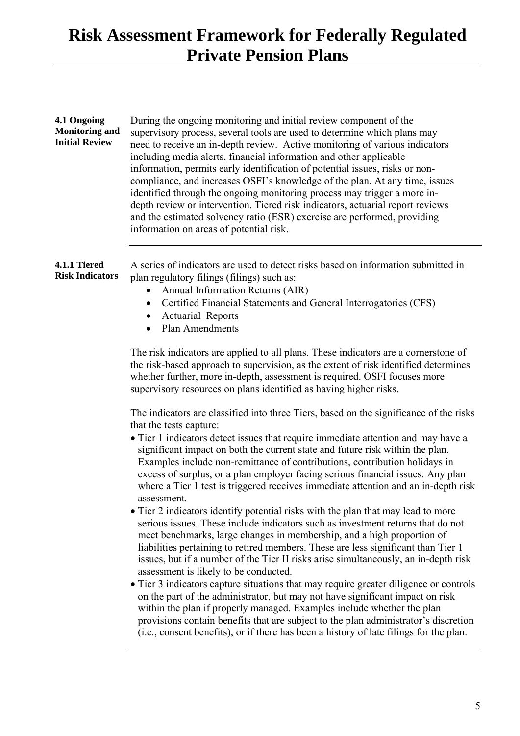#### <span id="page-4-0"></span>**4.1 Ongoing Monitoring and Initial Review** During the ongoing monitoring and initial review component of the supervisory process, several tools are used to determine which plans may need to receive an in-depth review. Active monitoring of various indicators including media alerts, financial information and other applicable information, permits early identification of potential issues, risks or noncompliance, and increases OSFI's knowledge of the plan. At any time, issues identified through the ongoing monitoring process may trigger a more indepth review or intervention. Tiered risk indicators, actuarial report reviews and the estimated solvency ratio (ESR) exercise are performed, providing information on areas of potential risk.

#### <span id="page-4-1"></span>**4.1.1 Tiered Risk Indicators**  A series of indicators are used to detect risks based on information submitted in plan regulatory filings (filings) such as:

- Annual Information Returns (AIR)
- Certified Financial Statements and General Interrogatories (CFS)
- Actuarial Reports
- Plan Amendments

The risk indicators are applied to all plans. These indicators are a cornerstone of the risk-based approach to supervision, as the extent of risk identified determines whether further, more in-depth, assessment is required. OSFI focuses more supervisory resources on plans identified as having higher risks.

The indicators are classified into three Tiers, based on the significance of the risks that the tests capture:

- Tier 1 indicators detect issues that require immediate attention and may have a significant impact on both the current state and future risk within the plan. Examples include non-remittance of contributions, contribution holidays in excess of surplus, or a plan employer facing serious financial issues. Any plan where a Tier 1 test is triggered receives immediate attention and an in-depth risk assessment.
- Tier 2 indicators identify potential risks with the plan that may lead to more serious issues. These include indicators such as investment returns that do not meet benchmarks, large changes in membership, and a high proportion of liabilities pertaining to retired members. These are less significant than Tier 1 issues, but if a number of the Tier II risks arise simultaneously, an in-depth risk assessment is likely to be conducted.
- Tier 3 indicators capture situations that may require greater diligence or controls on the part of the administrator, but may not have significant impact on risk within the plan if properly managed. Examples include whether the plan provisions contain benefits that are subject to the plan administrator's discretion (i.e., consent benefits), or if there has been a history of late filings for the plan.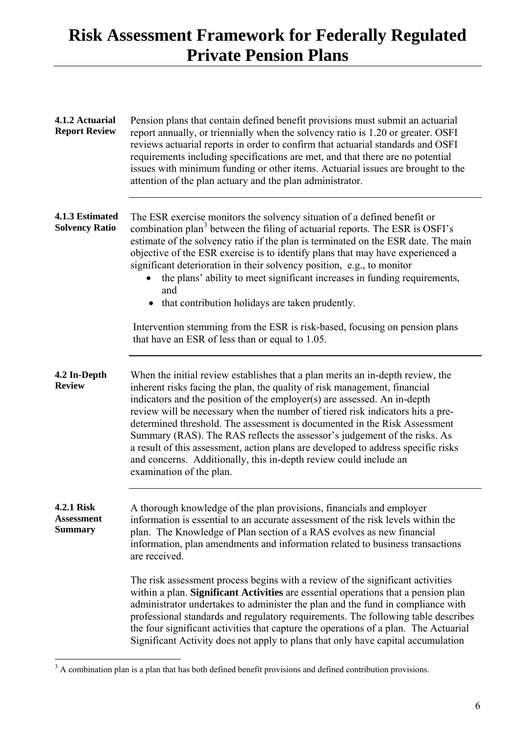<span id="page-5-2"></span><span id="page-5-1"></span><span id="page-5-0"></span>

| 4.1.2 Actuarial<br><b>Report Review</b>           | Pension plans that contain defined benefit provisions must submit an actuarial<br>report annually, or triennially when the solvency ratio is 1.20 or greater. OSFI<br>reviews actuarial reports in order to confirm that actuarial standards and OSFI<br>requirements including specifications are met, and that there are no potential<br>issues with minimum funding or other items. Actuarial issues are brought to the<br>attention of the plan actuary and the plan administrator.                                                                                                                                                                                   |
|---------------------------------------------------|---------------------------------------------------------------------------------------------------------------------------------------------------------------------------------------------------------------------------------------------------------------------------------------------------------------------------------------------------------------------------------------------------------------------------------------------------------------------------------------------------------------------------------------------------------------------------------------------------------------------------------------------------------------------------|
| 4.1.3 Estimated<br><b>Solvency Ratio</b>          | The ESR exercise monitors the solvency situation of a defined benefit or<br>combination plan <sup>3</sup> between the filing of actuarial reports. The ESR is OSFI's<br>estimate of the solvency ratio if the plan is terminated on the ESR date. The main<br>objective of the ESR exercise is to identify plans that may have experienced a<br>significant deterioration in their solvency position, e.g., to monitor<br>the plans' ability to meet significant increases in funding requirements,<br>and<br>• that contribution holidays are taken prudently.                                                                                                           |
|                                                   | Intervention stemming from the ESR is risk-based, focusing on pension plans<br>that have an ESR of less than or equal to 1.05.                                                                                                                                                                                                                                                                                                                                                                                                                                                                                                                                            |
| 4.2 In-Depth<br><b>Review</b>                     | When the initial review establishes that a plan merits an in-depth review, the<br>inherent risks facing the plan, the quality of risk management, financial<br>indicators and the position of the employer(s) are assessed. An in-depth<br>review will be necessary when the number of tiered risk indicators hits a pre-<br>determined threshold. The assessment is documented in the Risk Assessment<br>Summary (RAS). The RAS reflects the assessor's judgement of the risks. As<br>a result of this assessment, action plans are developed to address specific risks<br>and concerns. Additionally, this in-depth review could include an<br>examination of the plan. |
| 4.2.1 Risk<br><b>Assessment</b><br><b>Summary</b> | A thorough knowledge of the plan provisions, financials and employer<br>information is essential to an accurate assessment of the risk levels within the<br>plan. The Knowledge of Plan section of a RAS evolves as new financial<br>information, plan amendments and information related to business transactions<br>are received.                                                                                                                                                                                                                                                                                                                                       |
|                                                   | The risk assessment process begins with a review of the significant activities<br>within a plan. Significant Activities are essential operations that a pension plan<br>administrator undertakes to administer the plan and the fund in compliance with<br>professional standards and regulatory requirements. The following table describes<br>the four significant activities that capture the operations of a plan. The Actuarial<br>Significant Activity does not apply to plans that only have capital accumulation                                                                                                                                                  |

<span id="page-5-3"></span> $\overline{a}$ 

<span id="page-5-4"></span> $3 A$  combination plan is a plan that has both defined benefit provisions and defined contribution provisions.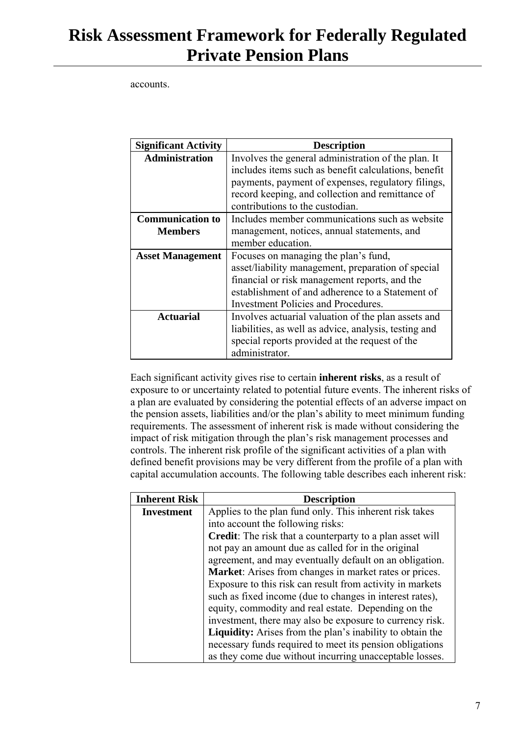accounts.

| <b>Significant Activity</b>               | <b>Description</b>                                                                                                                                                                                                                                       |
|-------------------------------------------|----------------------------------------------------------------------------------------------------------------------------------------------------------------------------------------------------------------------------------------------------------|
| <b>Administration</b>                     | Involves the general administration of the plan. It<br>includes items such as benefit calculations, benefit<br>payments, payment of expenses, regulatory filings,<br>record keeping, and collection and remittance of<br>contributions to the custodian. |
| <b>Communication to</b><br><b>Members</b> | Includes member communications such as website<br>management, notices, annual statements, and<br>member education.                                                                                                                                       |
| <b>Asset Management</b>                   | Focuses on managing the plan's fund,<br>asset/liability management, preparation of special<br>financial or risk management reports, and the<br>establishment of and adherence to a Statement of<br><b>Investment Policies and Procedures.</b>            |
| <b>Actuarial</b>                          | Involves actuarial valuation of the plan assets and<br>liabilities, as well as advice, analysis, testing and<br>special reports provided at the request of the<br>administrator.                                                                         |

Each significant activity gives rise to certain **inherent risks**, as a result of exposure to or uncertainty related to potential future events. The inherent risks of a plan are evaluated by considering the potential effects of an adverse impact on the pension assets, liabilities and/or the plan's ability to meet minimum funding requirements. The assessment of inherent risk is made without considering the impact of risk mitigation through the plan's risk management processes and controls. The inherent risk profile of the significant activities of a plan with defined benefit provisions may be very different from the profile of a plan with capital accumulation accounts. The following table describes each inherent risk:

| <b>Inherent Risk</b> | <b>Description</b>                                               |
|----------------------|------------------------------------------------------------------|
| <b>Investment</b>    | Applies to the plan fund only. This inherent risk takes          |
|                      | into account the following risks:                                |
|                      | Credit: The risk that a counterparty to a plan asset will        |
|                      | not pay an amount due as called for in the original              |
|                      | agreement, and may eventually default on an obligation.          |
|                      | Market: Arises from changes in market rates or prices.           |
|                      | Exposure to this risk can result from activity in markets        |
|                      | such as fixed income (due to changes in interest rates),         |
|                      | equity, commodity and real estate. Depending on the              |
|                      | investment, there may also be exposure to currency risk.         |
|                      | <b>Liquidity:</b> Arises from the plan's inability to obtain the |
|                      | necessary funds required to meet its pension obligations         |
|                      | as they come due without incurring unacceptable losses.          |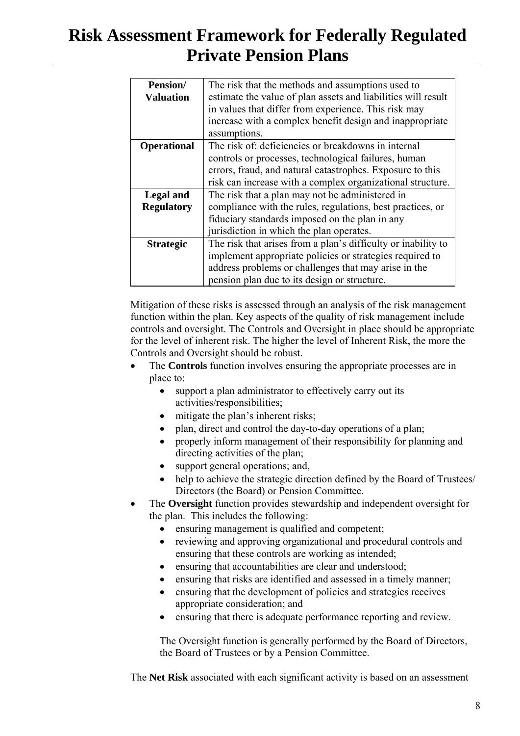| <b>Pension/</b>    | The risk that the methods and assumptions used to             |
|--------------------|---------------------------------------------------------------|
| <b>Valuation</b>   | estimate the value of plan assets and liabilities will result |
|                    | in values that differ from experience. This risk may          |
|                    | increase with a complex benefit design and inappropriate      |
|                    | assumptions.                                                  |
| <b>Operational</b> | The risk of: deficiencies or breakdowns in internal           |
|                    | controls or processes, technological failures, human          |
|                    | errors, fraud, and natural catastrophes. Exposure to this     |
|                    | risk can increase with a complex organizational structure.    |
| Legal and          | The risk that a plan may not be administered in               |
| <b>Regulatory</b>  | compliance with the rules, regulations, best practices, or    |
|                    | fiduciary standards imposed on the plan in any                |
|                    | jurisdiction in which the plan operates.                      |
| <b>Strategic</b>   | The risk that arises from a plan's difficulty or inability to |
|                    | implement appropriate policies or strategies required to      |
|                    | address problems or challenges that may arise in the          |
|                    | pension plan due to its design or structure.                  |

Mitigation of these risks is assessed through an analysis of the risk management function within the plan. Key aspects of the quality of risk management include controls and oversight. The Controls and Oversight in place should be appropriate for the level of inherent risk. The higher the level of Inherent Risk, the more the Controls and Oversight should be robust.

- The **Controls** function involves ensuring the appropriate processes are in place to:
	- support a plan administrator to effectively carry out its activities/responsibilities;
	- mitigate the plan's inherent risks;
	- plan, direct and control the day-to-day operations of a plan;
	- properly inform management of their responsibility for planning and directing activities of the plan;
	- support general operations; and,
	- help to achieve the strategic direction defined by the Board of Trustees/ Directors (the Board) or Pension Committee.
- The **Oversight** function provides stewardship and independent oversight for the plan. This includes the following:
	- ensuring management is qualified and competent;
	- reviewing and approving organizational and procedural controls and ensuring that these controls are working as intended;
	- ensuring that accountabilities are clear and understood;
	- ensuring that risks are identified and assessed in a timely manner;
	- ensuring that the development of policies and strategies receives appropriate consideration; and
	- ensuring that there is adequate performance reporting and review.

The Oversight function is generally performed by the Board of Directors, the Board of Trustees or by a Pension Committee.

The **Net Risk** associated with each significant activity is based on an assessment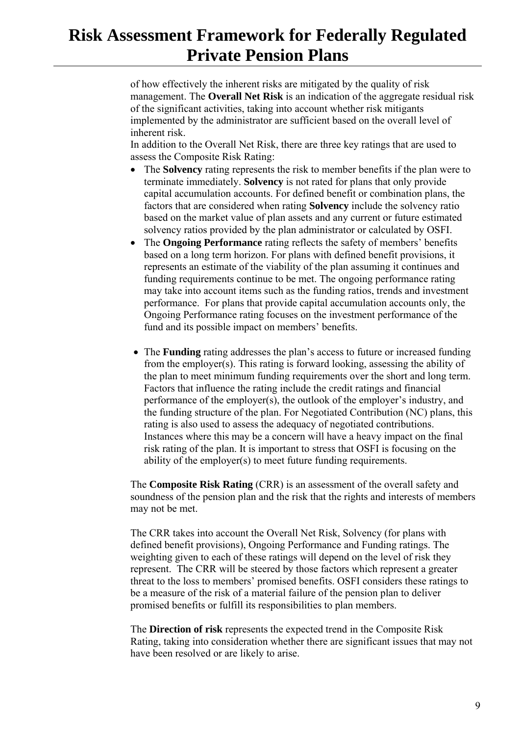of how effectively the inherent risks are mitigated by the quality of risk management. The **Overall Net Risk** is an indication of the aggregate residual risk of the significant activities, taking into account whether risk mitigants implemented by the administrator are sufficient based on the overall level of inherent risk.

In addition to the Overall Net Risk, there are three key ratings that are used to assess the Composite Risk Rating:

- The **Solvency** rating represents the risk to member benefits if the plan were to terminate immediately. **Solvency** is not rated for plans that only provide capital accumulation accounts. For defined benefit or combination plans, the factors that are considered when rating **Solvency** include the solvency ratio based on the market value of plan assets and any current or future estimated solvency ratios provided by the plan administrator or calculated by OSFI.
- The **Ongoing Performance** rating reflects the safety of members' benefits based on a long term horizon. For plans with defined benefit provisions, it represents an estimate of the viability of the plan assuming it continues and funding requirements continue to be met. The ongoing performance rating may take into account items such as the funding ratios, trends and investment performance. For plans that provide capital accumulation accounts only, the Ongoing Performance rating focuses on the investment performance of the fund and its possible impact on members' benefits.
- The **Funding** rating addresses the plan's access to future or increased funding from the employer(s). This rating is forward looking, assessing the ability of the plan to meet minimum funding requirements over the short and long term. Factors that influence the rating include the credit ratings and financial performance of the employer(s), the outlook of the employer's industry, and the funding structure of the plan. For Negotiated Contribution (NC) plans, this rating is also used to assess the adequacy of negotiated contributions. Instances where this may be a concern will have a heavy impact on the final risk rating of the plan. It is important to stress that OSFI is focusing on the ability of the employer(s) to meet future funding requirements.

The **Composite Risk Rating** (CRR) is an assessment of the overall safety and soundness of the pension plan and the risk that the rights and interests of members may not be met.

The CRR takes into account the Overall Net Risk, Solvency (for plans with defined benefit provisions), Ongoing Performance and Funding ratings. The weighting given to each of these ratings will depend on the level of risk they represent. The CRR will be steered by those factors which represent a greater threat to the loss to members' promised benefits. OSFI considers these ratings to be a measure of the risk of a material failure of the pension plan to deliver promised benefits or fulfill its responsibilities to plan members.

The **Direction of risk** represents the expected trend in the Composite Risk Rating, taking into consideration whether there are significant issues that may not have been resolved or are likely to arise.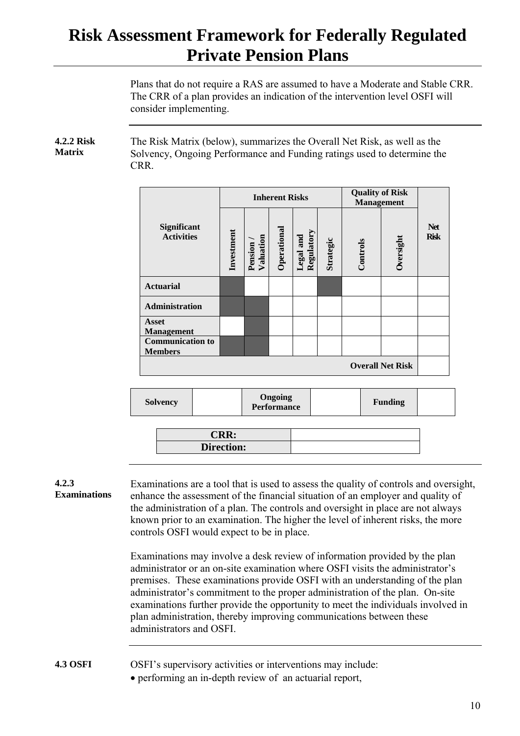Plans that do not require a RAS are assumed to have a Moderate and Stable CRR. The CRR of a plan provides an indication of the intervention level OSFI will consider implementing.

#### <span id="page-9-0"></span>**4.2.2 Risk Matrix** The Risk Matrix (below), summarizes the Overall Net Risk, as well as the Solvency, Ongoing Performance and Funding ratings used to determine the CRR.

|                                           | <b>Inherent Risks</b> |                      |             |                                |           | <b>Quality of Risk</b><br><b>Management</b> |                         |                           |
|-------------------------------------------|-----------------------|----------------------|-------------|--------------------------------|-----------|---------------------------------------------|-------------------------|---------------------------|
| <b>Significant</b><br><b>Activities</b>   | Investment            | Valuation<br>Pension | Operational | Regulatory<br><b>Legal</b> and | Strategic | Controls                                    | Dversight               | <b>Net</b><br><b>Risk</b> |
| <b>Actuarial</b>                          |                       |                      |             |                                |           |                                             |                         |                           |
| <b>Administration</b>                     |                       |                      |             |                                |           |                                             |                         |                           |
| <b>Asset</b><br><b>Management</b>         |                       |                      |             |                                |           |                                             |                         |                           |
| <b>Communication to</b><br><b>Members</b> |                       |                      |             |                                |           |                                             |                         |                           |
|                                           |                       |                      |             |                                |           |                                             | <b>Overall Net Risk</b> |                           |

| <b>Solvency</b> |                     | <b>Ongoing<br/>Performance</b> |  | <b>Funding</b> |  |
|-----------------|---------------------|--------------------------------|--|----------------|--|
|                 |                     |                                |  |                |  |
|                 | $\mathbf{CRR}\cdot$ |                                |  |                |  |

<span id="page-9-1"></span>

| 4.2.3 |                    |
|-------|--------------------|
|       | <b>Examination</b> |

 $\overline{\textbf{n}}$ Examinations are a tool that is used to assess the quality of controls and oversight, enhance the assessment of the financial situation of an employer and quality of the administration of a plan. The controls and oversight in place are not always known prior to an examination. The higher the level of inherent risks, the more controls OSFI would expect to be in place.

Examinations may involve a desk review of information provided by the plan administrator or an on-site examination where OSFI visits the administrator's premises. These examinations provide OSFI with an understanding of the plan administrator's commitment to the proper administration of the plan. On-site examinations further provide the opportunity to meet the individuals involved in plan administration, thereby improving communications between these administrators and OSFI.

### <span id="page-9-2"></span>**4.3 OSFI OSFI's supervisory activities or interventions may include:**

**Direction:**

• performing an in-depth review of an actuarial report,